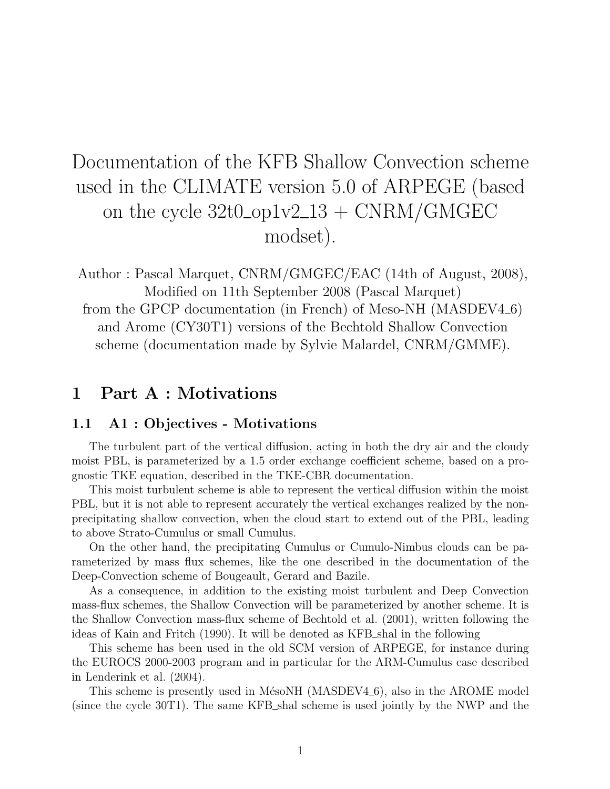# Documentation of the KFB Shallow Convection scheme used in the CLIMATE version 5.0 of ARPEGE (based on the cycle  $32t0$ -op1v2-13 + CNRM/GMGEC modset).

Author : Pascal Marquet, CNRM/GMGEC/EAC (14th of August, 2008), Modified on 11th September 2008 (Pascal Marquet)

from the GPCP documentation (in French) of Meso-NH (MASDEV4\_6) and Arome (CY30T1) versions of the Bechtold Shallow Convection scheme (documentation made by Sylvie Malardel, CNRM/GMME).

# 1 Part A : Motivations

### 1.1 A1 : Objectives - Motivations

The turbulent part of the vertical diffusion, acting in both the dry air and the cloudy moist PBL, is parameterized by a 1.5 order exchange coefficient scheme, based on a prognostic TKE equation, described in the TKE-CBR documentation.

This moist turbulent scheme is able to represent the vertical diffusion within the moist PBL, but it is not able to represent accurately the vertical exchanges realized by the nonprecipitating shallow convection, when the cloud start to extend out of the PBL, leading to above Strato-Cumulus or small Cumulus.

On the other hand, the precipitating Cumulus or Cumulo-Nimbus clouds can be parameterized by mass flux schemes, like the one described in the documentation of the Deep-Convection scheme of Bougeault, Gerard and Bazile.

As a consequence, in addition to the existing moist turbulent and Deep Convection mass-flux schemes, the Shallow Convection will be parameterized by another scheme. It is the Shallow Convection mass-flux scheme of Bechtold et al. (2001), written following the ideas of Kain and Fritch (1990). It will be denoted as KFB shal in the following

This scheme has been used in the old SCM version of ARPEGE, for instance during the EUROCS 2000-2003 program and in particular for the ARM-Cumulus case described in Lenderink et al. (2004).

This scheme is presently used in MésoNH (MASDEV4.6), also in the AROME model (since the cycle 30T1). The same KFB shal scheme is used jointly by the NWP and the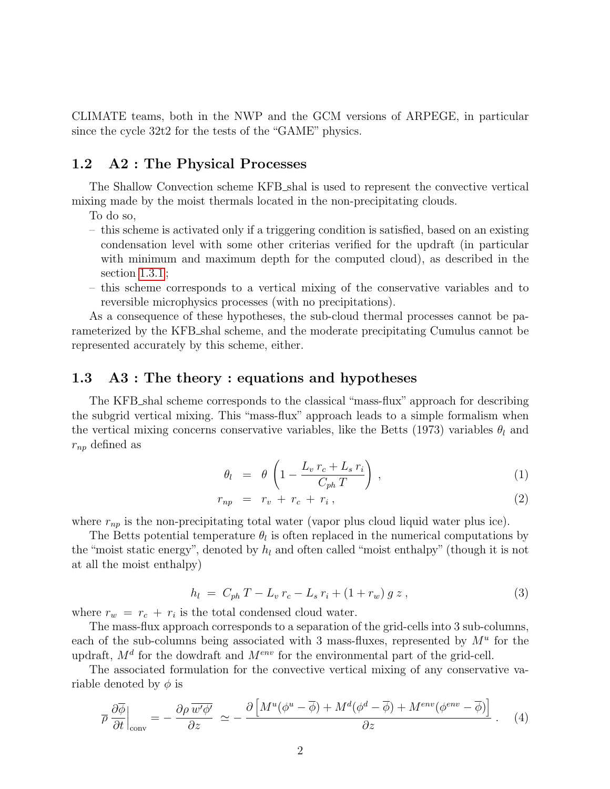CLIMATE teams, both in the NWP and the GCM versions of ARPEGE, in particular since the cycle 32t2 for the tests of the "GAME" physics.

#### 1.2 A2 : The Physical Processes

The Shallow Convection scheme KFB shal is used to represent the convective vertical mixing made by the moist thermals located in the non-precipitating clouds.

- To do so,
- this scheme is activated only if a triggering condition is satisfied, based on an existing condensation level with some other criterias verified for the updraft (in particular with minimum and maximum depth for the computed cloud), as described in the section [1.3.1](#page-3-0) ;
- this scheme corresponds to a vertical mixing of the conservative variables and to reversible microphysics processes (with no precipitations).

As a consequence of these hypotheses, the sub-cloud thermal processes cannot be parameterized by the KFB shal scheme, and the moderate precipitating Cumulus cannot be represented accurately by this scheme, either.

#### 1.3 A3 : The theory : equations and hypotheses

The KFB shal scheme corresponds to the classical "mass-flux" approach for describing the subgrid vertical mixing. This "mass-flux" approach leads to a simple formalism when the vertical mixing concerns conservative variables, like the Betts (1973) variables  $\theta_l$  and  $r_{np}$  defined as

$$
\theta_l = \theta \left( 1 - \frac{L_v r_c + L_s r_i}{C_{ph} T} \right), \qquad (1)
$$

$$
r_{np} = r_v + r_c + r_i, \qquad (2)
$$

where  $r_{np}$  is the non-precipitating total water (vapor plus cloud liquid water plus ice).

The Betts potential temperature  $\theta_l$  is often replaced in the numerical computations by the "moist static energy", denoted by  $h_l$  and often called "moist enthalpy" (though it is not at all the moist enthalpy)

$$
h_l = C_{ph} T - L_v r_c - L_s r_i + (1 + r_w) g z , \qquad (3)
$$

where  $r_w = r_c + r_i$  is the total condensed cloud water.

The mass-flux approach corresponds to a separation of the grid-cells into 3 sub-columns, each of the sub-columns being associated with 3 mass-fluxes, represented by  $M^u$  for the updraft,  $M<sup>d</sup>$  for the dowdraft and  $M<sup>env</sup>$  for the environmental part of the grid-cell.

The associated formulation for the convective vertical mixing of any conservative variable denoted by  $\phi$  is

<span id="page-1-0"></span>
$$
\overline{\rho} \frac{\partial \overline{\phi}}{\partial t}\Big|_{\text{conv}} = -\frac{\partial \rho}{\partial z} \frac{\overline{w'\phi'}}{\sim} \simeq -\frac{\partial \left[M^u(\phi^u - \overline{\phi}) + M^d(\phi^d - \overline{\phi}) + M^{env}(\phi^{env} - \overline{\phi})\right]}{\partial z} \,. \tag{4}
$$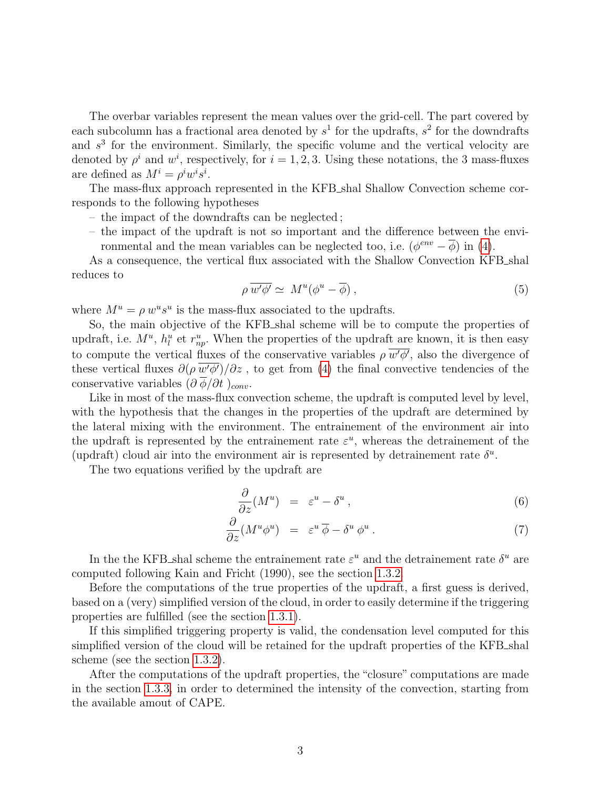The overbar variables represent the mean values over the grid-cell. The part covered by each subcolumn has a fractional area denoted by  $s^1$  for the updrafts,  $s^2$  for the downdrafts and  $s<sup>3</sup>$  for the environment. Similarly, the specific volume and the vertical velocity are denoted by  $\rho^i$  and  $w^i$ , respectively, for  $i = 1, 2, 3$ . Using these notations, the 3 mass-fluxes are defined as  $M^i = \rho^i w^i s^i$ .

The mass-flux approach represented in the KFB shal Shallow Convection scheme corresponds to the following hypotheses

- the impact of the downdrafts can be neglected ;
- the impact of the updraft is not so important and the difference between the environmental and the mean variables can be neglected too, i.e.  $(\phi^{env} - \overline{\phi})$  in [\(4\)](#page-1-0).

As a consequence, the vertical flux associated with the Shallow Convection KFB\_shal reduces to

$$
\rho \, \overline{w' \phi'} \simeq \, M^u (\phi^u - \overline{\phi}) \,, \tag{5}
$$

where  $M^u = \rho w^u s^u$  is the mass-flux associated to the updrafts.

So, the main objective of the KFB shal scheme will be to compute the properties of updraft, i.e.  $M^u$ ,  $h_l^u$  et  $r_{np}^u$ . When the properties of the updraft are known, it is then easy to compute the vertical fluxes of the conservative variables  $\rho \overline{w' \phi'}$ , also the divergence of these vertical fluxes  $\partial(\rho \overline{w' \phi'})/\partial z$ , to get from [\(4\)](#page-1-0) the final convective tendencies of the conservative variables  $\left(\frac{\partial \overline{\phi}}{\partial t}\right)_{conv}$ .

Like in most of the mass-flux convection scheme, the updraft is computed level by level, with the hypothesis that the changes in the properties of the updraft are determined by the lateral mixing with the environment. The entrainement of the environment air into the updraft is represented by the entrainement rate  $\varepsilon^u$ , whereas the detrainement of the (updraft) cloud air into the environment air is represented by detrainement rate  $\delta^u$ .

The two equations verified by the updraft are

$$
\frac{\partial}{\partial z}(M^u) = \varepsilon^u - \delta^u \,, \tag{6}
$$

$$
\frac{\partial}{\partial z}(M^u \phi^u) = \varepsilon^u \overline{\phi} - \delta^u \phi^u. \tag{7}
$$

In the the KFB shal scheme the entrainement rate  $\varepsilon^u$  and the detrainement rate  $\delta^u$  are computed following Kain and Fricht (1990), see the section [1.3.2.](#page-3-1)

Before the computations of the true properties of the updraft, a first guess is derived, based on a (very) simplified version of the cloud, in order to easily determine if the triggering properties are fulfilled (see the section [1.3.1\)](#page-3-0).

If this simplified triggering property is valid, the condensation level computed for this simplified version of the cloud will be retained for the updraft properties of the KFB shall scheme (see the section [1.3.2\)](#page-3-1).

After the computations of the updraft properties, the "closure" computations are made in the section [1.3.3,](#page-5-0) in order to determined the intensity of the convection, starting from the available amout of CAPE.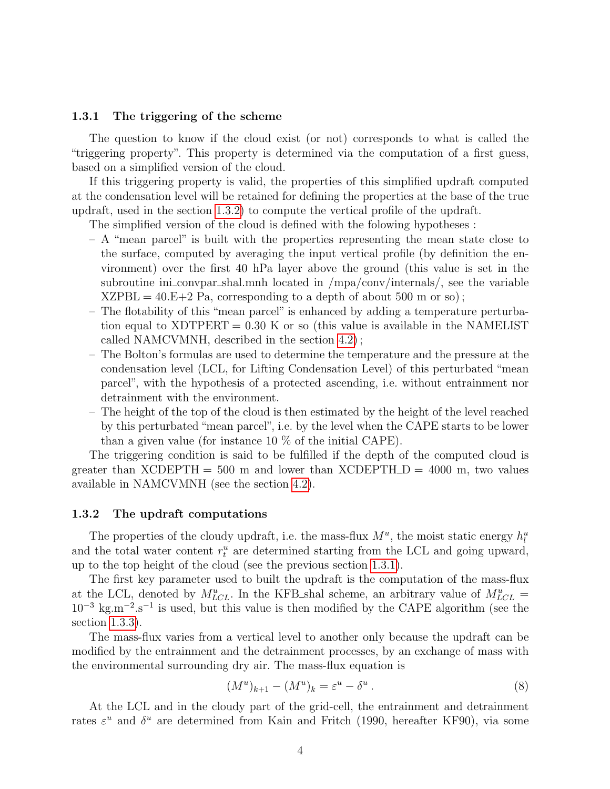#### <span id="page-3-0"></span>1.3.1 The triggering of the scheme

The question to know if the cloud exist (or not) corresponds to what is called the "triggering property". This property is determined via the computation of a first guess, based on a simplified version of the cloud.

If this triggering property is valid, the properties of this simplified updraft computed at the condensation level will be retained for defining the properties at the base of the true updraft, used in the section [1.3.2\)](#page-3-1) to compute the vertical profile of the updraft.

The simplified version of the cloud is defined with the folowing hypotheses :

- A "mean parcel" is built with the properties representing the mean state close to the surface, computed by averaging the input vertical profile (by definition the environment) over the first 40 hPa layer above the ground (this value is set in the subroutine ini\_convpar\_shal.mnh located in /mpa/conv/internals/, see the variable  $XZPBL = 40.E+2 Pa$ , corresponding to a depth of about 500 m or so);
- The flotability of this "mean parcel" is enhanced by adding a temperature perturbation equal to  $XDTPERT = 0.30$  K or so (this value is available in the NAMELIST called NAMCVMNH, described in the section [4.2\)](#page-10-0) ;
- The Bolton's formulas are used to determine the temperature and the pressure at the condensation level (LCL, for Lifting Condensation Level) of this perturbated "mean parcel", with the hypothesis of a protected ascending, i.e. without entrainment nor detrainment with the environment.
- The height of the top of the cloud is then estimated by the height of the level reached by this perturbated "mean parcel", i.e. by the level when the CAPE starts to be lower than a given value (for instance 10 % of the initial CAPE).

The triggering condition is said to be fulfilled if the depth of the computed cloud is greater than XCDEPTH = 500 m and lower than XCDEPTH  $D = 4000$  m, two values available in NAMCVMNH (see the section [4.2\)](#page-10-0).

#### <span id="page-3-1"></span>1.3.2 The updraft computations

The properties of the cloudy updraft, i.e. the mass-flux  $M^u$ , the moist static energy  $h_l^u$ and the total water content  $r_t^u$  are determined starting from the LCL and going upward, up to the top height of the cloud (see the previous section [1.3.1\)](#page-3-0).

The first key parameter used to built the updraft is the computation of the mass-flux at the LCL, denoted by  $M_{LCL}^u$ . In the KFB\_shal scheme, an arbitrary value of  $M_{LCL}^u$  =  $10^{-3}$  kg.m<sup>-2</sup>.s<sup>-1</sup> is used, but this value is then modified by the CAPE algorithm (see the section [1.3.3\)](#page-5-0).

The mass-flux varies from a vertical level to another only because the updraft can be modified by the entrainment and the detrainment processes, by an exchange of mass with the environmental surrounding dry air. The mass-flux equation is

<span id="page-3-2"></span>
$$
(M^u)_{k+1} - (M^u)_k = \varepsilon^u - \delta^u \,. \tag{8}
$$

At the LCL and in the cloudy part of the grid-cell, the entrainment and detrainment rates  $\varepsilon^u$  and  $\delta^u$  are determined from Kain and Fritch (1990, hereafter KF90), via some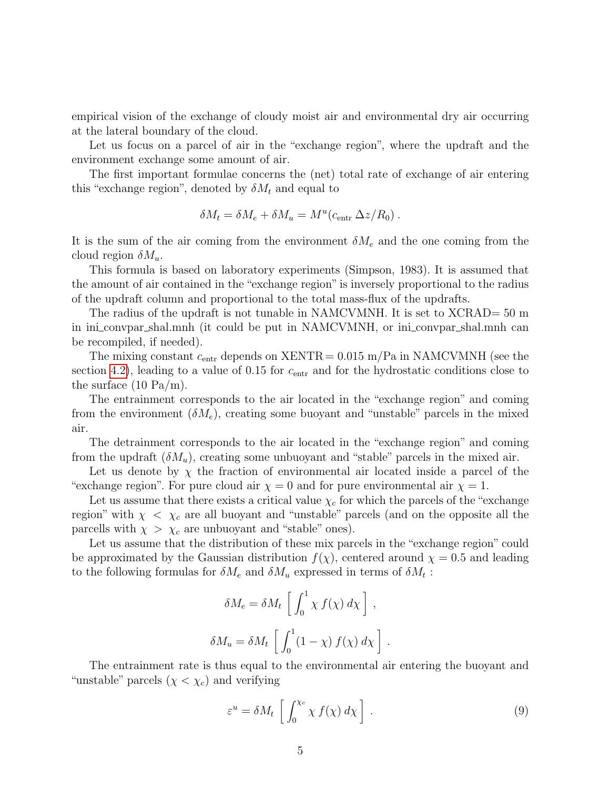empirical vision of the exchange of cloudy moist air and environmental dry air occurring at the lateral boundary of the cloud.

Let us focus on a parcel of air in the "exchange region", where the updraft and the environment exchange some amount of air.

The first important formulae concerns the (net) total rate of exchange of air entering this "exchange region", denoted by  $\delta M_t$  and equal to

$$
\delta M_t = \delta M_e + \delta M_u = M^u (c_{\text{entr}} \Delta z / R_0) .
$$

It is the sum of the air coming from the environment  $\delta M_e$  and the one coming from the cloud region  $\delta M_u$ .

This formula is based on laboratory experiments (Simpson, 1983). It is assumed that the amount of air contained in the "exchange region" is inversely proportional to the radius of the updraft column and proportional to the total mass-flux of the updrafts.

The radius of the updraft is not tunable in NAMCVMNH. It is set to XCRAD= 50 m in ini convpar shal.mnh (it could be put in NAMCVMNH, or ini convpar shal.mnh can be recompiled, if needed).

The mixing constant  $c_{\text{entr}}$  depends on  $\text{XENTR} = 0.015 \text{ m/Pa}$  in NAMCVMNH (see the section [4.2\)](#page-10-0), leading to a value of 0.15 for  $c_{\text{entr}}$  and for the hydrostatic conditions close to the surface (10 Pa/m).

The entrainment corresponds to the air located in the "exchange region" and coming from the environment  $(\delta M_e)$ , creating some buoyant and "unstable" parcels in the mixed air.

The detrainment corresponds to the air located in the "exchange region" and coming from the updraft  $(\delta M_u)$ , creating some unbuoyant and "stable" parcels in the mixed air.

Let us denote by  $\chi$  the fraction of environmental air located inside a parcel of the "exchange region". For pure cloud air  $\chi = 0$  and for pure environmental air  $\chi = 1$ .

Let us assume that there exists a critical value  $\chi_c$  for which the parcels of the "exchange" region" with  $\chi \leq \chi_c$  are all buoyant and "unstable" parcels (and on the opposite all the parcells with  $\chi > \chi_c$  are unbuoyant and "stable" ones).

Let us assume that the distribution of these mix parcels in the "exchange region" could be approximated by the Gaussian distribution  $f(\chi)$ , centered around  $\chi = 0.5$  and leading to the following formulas for  $\delta M_e$  and  $\delta M_u$  expressed in terms of  $\delta M_t$ :

$$
\delta M_e = \delta M_t \left[ \int_0^1 \chi f(\chi) d\chi \right],
$$
  

$$
\delta M_u = \delta M_t \left[ \int_0^1 (1 - \chi) f(\chi) d\chi \right].
$$

The entrainment rate is thus equal to the environmental air entering the buoyant and "unstable" parcels  $(\chi < \chi_c)$  and verifying

<span id="page-4-0"></span>
$$
\varepsilon^u = \delta M_t \left[ \int_0^{\chi_c} \chi \, f(\chi) \, d\chi \right] \,. \tag{9}
$$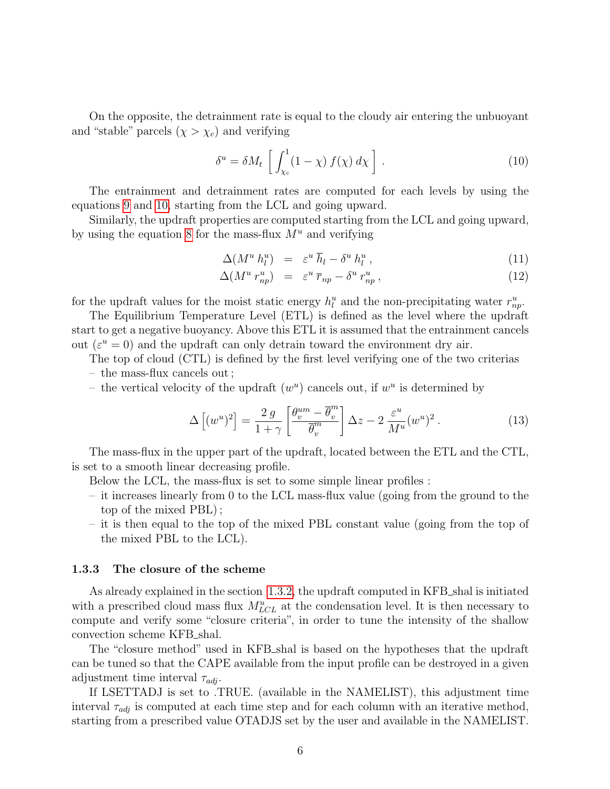On the opposite, the detrainment rate is equal to the cloudy air entering the unbuoyant and "stable" parcels  $(\chi > \chi_c)$  and verifying

<span id="page-5-1"></span>
$$
\delta^u = \delta M_t \left[ \int_{\chi_c}^1 (1 - \chi) f(\chi) d\chi \right]. \tag{10}
$$

The entrainment and detrainment rates are computed for each levels by using the equations [9](#page-4-0) and [10,](#page-5-1) starting from the LCL and going upward.

Similarly, the updraft properties are computed starting from the LCL and going upward, by using the equation [8](#page-3-2) for the mass-flux  $M^u$  and verifying

$$
\Delta(M^u \ h_l^u) = \varepsilon^u \bar{h}_l - \delta^u \, h_l^u \,, \tag{11}
$$

$$
\Delta(M^u r_{np}^u) = \varepsilon^u \bar{r}_{np} - \delta^u r_{np}^u , \qquad (12)
$$

for the updraft values for the moist static energy  $h_l^u$  and the non-precipitating water  $r_{np}^u$ .

The Equilibrium Temperature Level (ETL) is defined as the level where the updraft start to get a negative buoyancy. Above this ETL it is assumed that the entrainment cancels out  $(\varepsilon^u = 0)$  and the updraft can only detrain toward the environment dry air.

The top of cloud (CTL) is defined by the first level verifying one of the two criterias – the mass-flux cancels out ;

– the vertical velocity of the updraft  $(w^u)$  cancels out, if  $w^u$  is determined by

$$
\Delta\left[ (w^u)^2 \right] = \frac{2 g}{1+\gamma} \left[ \frac{\theta_v^{um} - \overline{\theta}_v^m}{\overline{\theta}_v^m} \right] \Delta z - 2 \frac{\varepsilon^u}{M^u} (w^u)^2. \tag{13}
$$

The mass-flux in the upper part of the updraft, located between the ETL and the CTL, is set to a smooth linear decreasing profile.

Below the LCL, the mass-flux is set to some simple linear profiles :

- it increases linearly from 0 to the LCL mass-flux value (going from the ground to the top of the mixed PBL) ;
- it is then equal to the top of the mixed PBL constant value (going from the top of the mixed PBL to the LCL).

#### <span id="page-5-0"></span>1.3.3 The closure of the scheme

As already explained in the section [1.3.2,](#page-3-1) the updraft computed in KFB\_shal is initiated with a prescribed cloud mass flux  $M_{LCL}^u$  at the condensation level. It is then necessary to compute and verify some "closure criteria", in order to tune the intensity of the shallow convection scheme KFB shal.

The "closure method" used in KFB shal is based on the hypotheses that the updraft can be tuned so that the CAPE available from the input profile can be destroyed in a given adjustment time interval  $\tau_{adj}$ .

If LSETTADJ is set to .TRUE. (available in the NAMELIST), this adjustment time interval  $\tau_{adj}$  is computed at each time step and for each column with an iterative method, starting from a prescribed value OTADJS set by the user and available in the NAMELIST.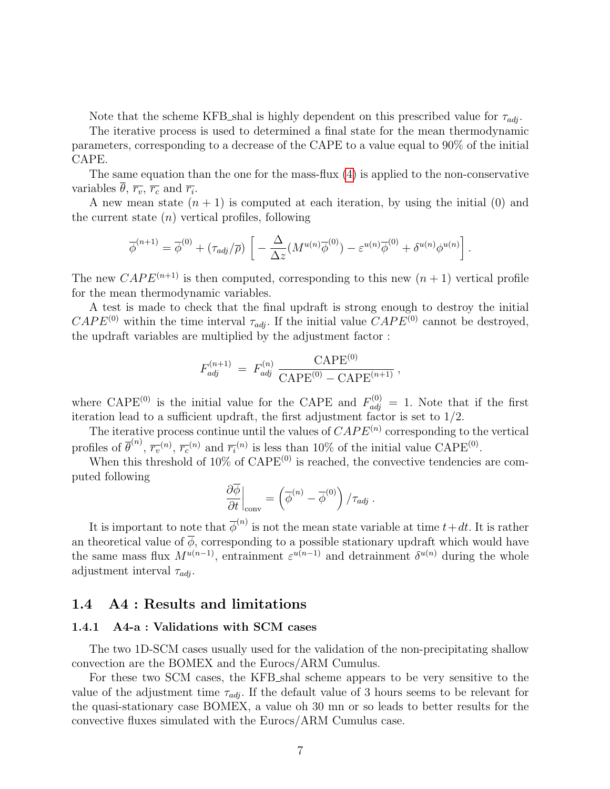Note that the scheme KFB shal is highly dependent on this prescribed value for  $\tau_{adi}$ .

The iterative process is used to determined a final state for the mean thermodynamic parameters, corresponding to a decrease of the CAPE to a value equal to 90% of the initial CAPE.

The same equation than the one for the mass-flux [\(4\)](#page-1-0) is applied to the non-conservative variables  $\overline{\theta}$ ,  $\overline{r_v}$ ,  $\overline{r_c}$  and  $\overline{r_i}$ .

A new mean state  $(n + 1)$  is computed at each iteration, by using the initial (0) and the current state  $(n)$  vertical profiles, following

$$
\overline{\phi}^{(n+1)} = \overline{\phi}^{(0)} + (\tau_{adj}/\overline{\rho}) \left[ -\frac{\Delta}{\Delta z} (M^{u(n)} \overline{\phi}^{(0)}) - \varepsilon^{u(n)} \overline{\phi}^{(0)} + \delta^{u(n)} \phi^{u(n)} \right].
$$

The new CAP E<sup>(n+1)</sup> is then computed, corresponding to this new  $(n + 1)$  vertical profile for the mean thermodynamic variables.

A test is made to check that the final updraft is strong enough to destroy the initial  $CAPE^{(0)}$  within the time interval  $\tau_{adj}$ . If the initial value  $CAPE^{(0)}$  cannot be destroyed, the updraft variables are multiplied by the adjustment factor :

$$
F_{adj}^{(n+1)} = F_{adj}^{(n)} \frac{\text{CAPE}^{(0)}}{\text{CAPE}^{(0)} - \text{CAPE}^{(n+1)}},
$$

where CAPE<sup>(0)</sup> is the initial value for the CAPE and  $F_{adj}^{(0)} = 1$ . Note that if the first iteration lead to a sufficient updraft, the first adjustment factor is set to 1/2.

The iterative process continue until the values of  $CAPE<sup>(n)</sup>$  corresponding to the vertical profiles of  $\overline{\theta}^{(n)}$ ,  $\overline{r_v}^{(n)}$ ,  $\overline{r_c}^{(n)}$  and  $\overline{r_i}^{(n)}$  is less than 10% of the initial value CAPE<sup>(0)</sup>.

When this threshold of  $10\%$  of  $\text{CAPE}^{(0)}$  is reached, the convective tendencies are computed following

$$
\left. \frac{\partial \overline{\phi}}{\partial t} \right|_{\text{conv}} = \left( \overline{\phi}^{(n)} - \overline{\phi}^{(0)} \right) / \tau_{adj} \ .
$$

It is important to note that  $\overline{\phi}^{(n)}$  is not the mean state variable at time  $t+dt$ . It is rather an theoretical value of  $\phi$ , corresponding to a possible stationary updraft which would have the same mass flux  $M^{u(n-1)}$ , entrainment  $\varepsilon^{u(n-1)}$  and detrainment  $\delta^{u(n)}$  during the whole adjustment interval  $\tau_{adj}$ .

### 1.4 A4 : Results and limitations

#### 1.4.1 A4-a : Validations with SCM cases

The two 1D-SCM cases usually used for the validation of the non-precipitating shallow convection are the BOMEX and the Eurocs/ARM Cumulus.

For these two SCM cases, the KFB shal scheme appears to be very sensitive to the value of the adjustment time  $\tau_{adj}$ . If the default value of 3 hours seems to be relevant for the quasi-stationary case BOMEX, a value oh 30 mn or so leads to better results for the convective fluxes simulated with the Eurocs/ARM Cumulus case.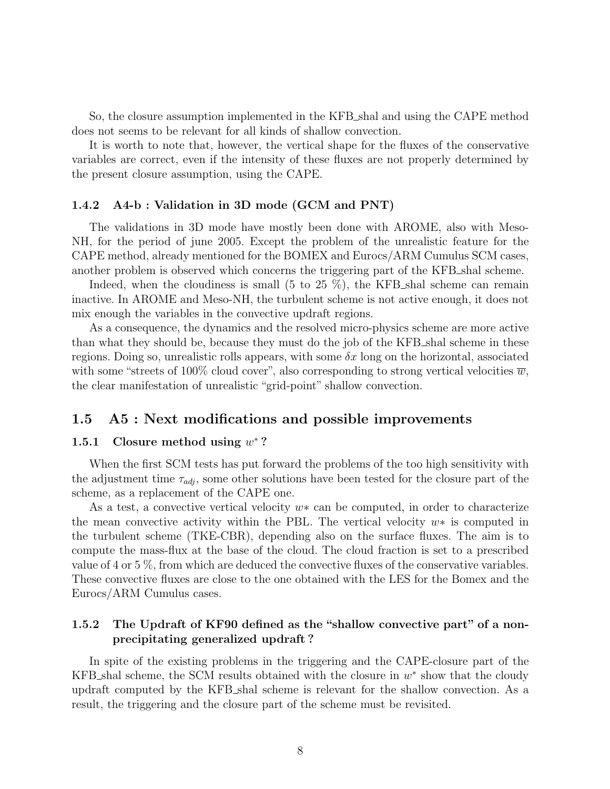So, the closure assumption implemented in the KFB shal and using the CAPE method does not seems to be relevant for all kinds of shallow convection.

It is worth to note that, however, the vertical shape for the fluxes of the conservative variables are correct, even if the intensity of these fluxes are not properly determined by the present closure assumption, using the CAPE.

#### 1.4.2 A4-b : Validation in 3D mode (GCM and PNT)

The validations in 3D mode have mostly been done with AROME, also with Meso-NH, for the period of june 2005. Except the problem of the unrealistic feature for the CAPE method, already mentioned for the BOMEX and Eurocs/ARM Cumulus SCM cases, another problem is observed which concerns the triggering part of the KFB shal scheme.

Indeed, when the cloudiness is small  $(5 \text{ to } 25 \%)$ , the KFB shal scheme can remain inactive. In AROME and Meso-NH, the turbulent scheme is not active enough, it does not mix enough the variables in the convective updraft regions.

As a consequence, the dynamics and the resolved micro-physics scheme are more active than what they should be, because they must do the job of the KFB shal scheme in these regions. Doing so, unrealistic rolls appears, with some  $\delta x$  long on the horizontal, associated with some "streets of 100% cloud cover", also corresponding to strong vertical velocities  $\overline{w}$ , the clear manifestation of unrealistic "grid-point" shallow convection.

#### 1.5 A5 : Next modifications and possible improvements

#### 1.5.1 Closure method using  $w^*$ ?

When the first SCM tests has put forward the problems of the too high sensitivity with the adjustment time  $\tau_{adj}$ , some other solutions have been tested for the closure part of the scheme, as a replacement of the CAPE one.

As a test, a convective vertical velocity  $w*$  can be computed, in order to characterize the mean convective activity within the PBL. The vertical velocity w∗ is computed in the turbulent scheme (TKE-CBR), depending also on the surface fluxes. The aim is to compute the mass-flux at the base of the cloud. The cloud fraction is set to a prescribed value of 4 or 5 %, from which are deduced the convective fluxes of the conservative variables. These convective fluxes are close to the one obtained with the LES for the Bomex and the Eurocs/ARM Cumulus cases.

#### 1.5.2 The Updraft of KF90 defined as the "shallow convective part" of a nonprecipitating generalized updraft ?

In spite of the existing problems in the triggering and the CAPE-closure part of the KFB\_shal scheme, the SCM results obtained with the closure in  $w^*$  show that the cloudy updraft computed by the KFB shal scheme is relevant for the shallow convection. As a result, the triggering and the closure part of the scheme must be revisited.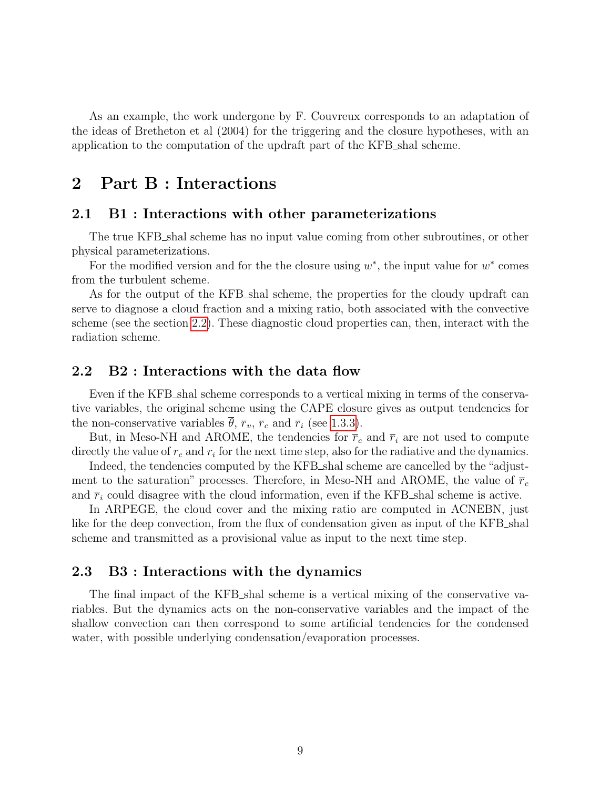As an example, the work undergone by F. Couvreux corresponds to an adaptation of the ideas of Bretheton et al (2004) for the triggering and the closure hypotheses, with an application to the computation of the updraft part of the KFB shal scheme.

# 2 Part B : Interactions

#### 2.1 B1 : Interactions with other parameterizations

The true KFB shal scheme has no input value coming from other subroutines, or other physical parameterizations.

For the modified version and for the the closure using  $w^*$ , the input value for  $w^*$  comes from the turbulent scheme.

As for the output of the KFB shal scheme, the properties for the cloudy updraft can serve to diagnose a cloud fraction and a mixing ratio, both associated with the convective scheme (see the section [2.2\)](#page-8-0). These diagnostic cloud properties can, then, interact with the radiation scheme.

#### <span id="page-8-0"></span>2.2 B2 : Interactions with the data flow

Even if the KFB shal scheme corresponds to a vertical mixing in terms of the conservative variables, the original scheme using the CAPE closure gives as output tendencies for the non-conservative variables  $\theta$ ,  $\overline{r}_v$ ,  $\overline{r}_c$  and  $\overline{r}_i$  (see [1.3.3\)](#page-5-0).

But, in Meso-NH and AROME, the tendencies for  $\bar{r}_c$  and  $\bar{r}_i$  are not used to compute directly the value of  $r_c$  and  $r_i$  for the next time step, also for the radiative and the dynamics.

Indeed, the tendencies computed by the KFB shal scheme are cancelled by the "adjustment to the saturation" processes. Therefore, in Meso-NH and AROME, the value of  $\bar{r}_c$ and  $\bar{r}_i$  could disagree with the cloud information, even if the KFB shal scheme is active.

In ARPEGE, the cloud cover and the mixing ratio are computed in ACNEBN, just like for the deep convection, from the flux of condensation given as input of the KFB shall scheme and transmitted as a provisional value as input to the next time step.

#### 2.3 B3 : Interactions with the dynamics

The final impact of the KFB shal scheme is a vertical mixing of the conservative variables. But the dynamics acts on the non-conservative variables and the impact of the shallow convection can then correspond to some artificial tendencies for the condensed water, with possible underlying condensation/evaporation processes.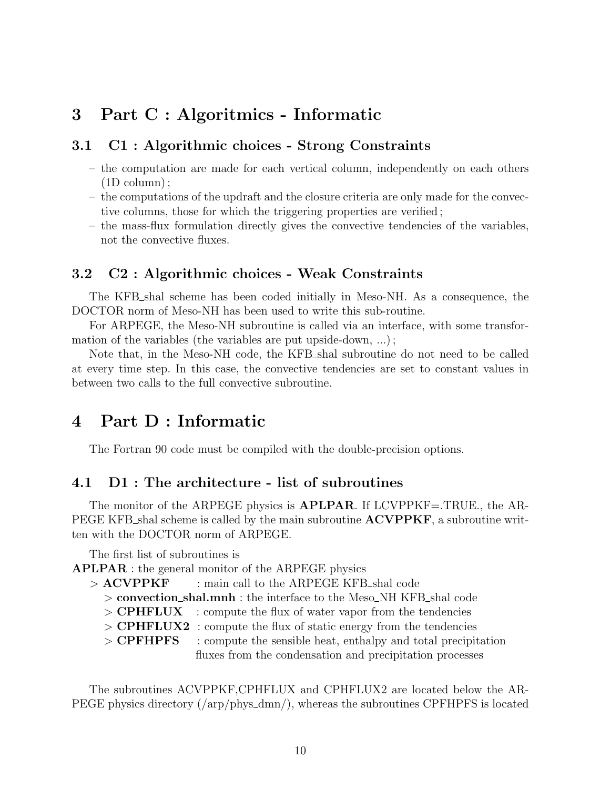# 3 Part C : Algoritmics - Informatic

### 3.1 C1 : Algorithmic choices - Strong Constraints

- the computation are made for each vertical column, independently on each others (1D column) ;
- the computations of the updraft and the closure criteria are only made for the convective columns, those for which the triggering properties are verified ;
- the mass-flux formulation directly gives the convective tendencies of the variables, not the convective fluxes.

#### 3.2 C2 : Algorithmic choices - Weak Constraints

The KFB shal scheme has been coded initially in Meso-NH. As a consequence, the DOCTOR norm of Meso-NH has been used to write this sub-routine.

For ARPEGE, the Meso-NH subroutine is called via an interface, with some transformation of the variables (the variables are put upside-down, ...) ;

Note that, in the Meso-NH code, the KFB shal subroutine do not need to be called at every time step. In this case, the convective tendencies are set to constant values in between two calls to the full convective subroutine.

### 4 Part D : Informatic

The Fortran 90 code must be compiled with the double-precision options.

#### 4.1 D1 : The architecture - list of subroutines

The monitor of the ARPEGE physics is **APLPAR**. If LCVPPKF=.TRUE., the AR-PEGE KFB shal scheme is called by the main subroutine  $ACVPPKF$ , a subroutine written with the DOCTOR norm of ARPEGE.

The first list of subroutines is

APLPAR : the general monitor of the ARPEGE physics

- $>$  ACVPPKF  $\qquad$ : main call to the ARPEGE KFB shal code
	- > convection shal.mnh : the interface to the Meso NH KFB shal code
	- $>$  CPHFLUX : compute the flux of water vapor from the tendencies
	- $>$  CPHFLUX2 : compute the flux of static energy from the tendencies

> **CPFHPFS** : compute the sensible heat, enthalpy and total precipitation fluxes from the condensation and precipitation processes

The subroutines ACVPPKF,CPHFLUX and CPHFLUX2 are located below the AR-PEGE physics directory (/arp/phys\_dmn/), whereas the subroutines CPFHPFS is located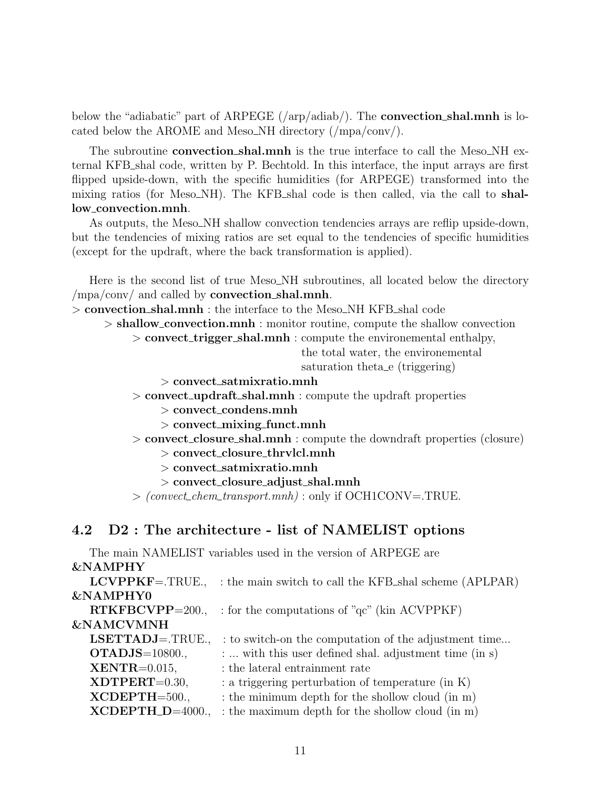below the "adiabatic" part of ARPEGE  $(\alpha)$  are  $(\alpha)$ . The **convection shal.mnh** is located below the AROME and Meso\_NH directory  $(\text{mpa}/\text{conv})$ .

The subroutine **convection\_shal.mnh** is the true interface to call the Meso\_NH external KFB shal code, written by P. Bechtold. In this interface, the input arrays are first flipped upside-down, with the specific humidities (for ARPEGE) transformed into the mixing ratios (for Meso\_NH). The KFB\_shal code is then called, via the call to **shal**low convection.mnh.

As outputs, the Meso\_NH shallow convection tendencies arrays are reflip upside-down, but the tendencies of mixing ratios are set equal to the tendencies of specific humidities (except for the updraft, where the back transformation is applied).

Here is the second list of true Meso NH subroutines, all located below the directory  $\langle \text{mpa}/\text{conv}/ \text{ and called by convection\_shall.mnh.}$ 

> convection shal.mnh : the interface to the Meso NH KFB shal code

> shallow convection.mnh : monitor routine, compute the shallow convection

> convect\_trigger\_shal.mnh : compute the environemental enthalpy,

the total water, the environemental

saturation theta<sub>re</sub> (triggering)

- $>$  convect\_satmixratio.mnh
- > convect\_updraft\_shal.mnh : compute the updraft properties
	- $>$  convect\_condens.mnh
	- $>$  convect\_mixing\_funct.mnh
- > convect closure shal.mnh : compute the downdraft properties (closure)
	- > convect closure thrvlcl.mnh
	- $>$  convect\_satmixratio.mnh
	- > convect\_closure\_adjust\_shal.mnh

 $>$  (convect\_chem\_transport.mnh) : only if OCH1CONV=.TRUE.

### <span id="page-10-0"></span>4.2 D2 : The architecture - list of NAMELIST options

The main NAMELIST variables used in the version of ARPEGE are &NAMPHY

| $LCVPPKF = .TRUE.$       | : the main switch to call the KFB_shal scheme (APLPAR) |
|--------------------------|--------------------------------------------------------|
| <b>&amp;NAMPHY0</b>      |                                                        |
| $RTKFBCVPP=200.$         | : for the computations of " $qc$ " (kin ACVPPKF)       |
| <b>&amp;NAMCVMNH</b>     |                                                        |
| $LSETTADJ = . \nTRUE.$   | : to switch-on the computation of the adjustment time  |
| $\textbf{OTADJS}=10800.$ | :  with this user defined shal. adjustment time (in s) |
| $XENTR = 0.015$ ,        | $:$ the lateral entrainment rate                       |
| $XDTPERT=0.30,$          | : a triggering perturbation of temperature (in K)      |
| $XCDEPTH=500.$           | : the minimum depth for the shollow cloud (in m)       |
| $XCDEPTH_D=4000.$        | : the maximum depth for the shollow cloud (in m)       |